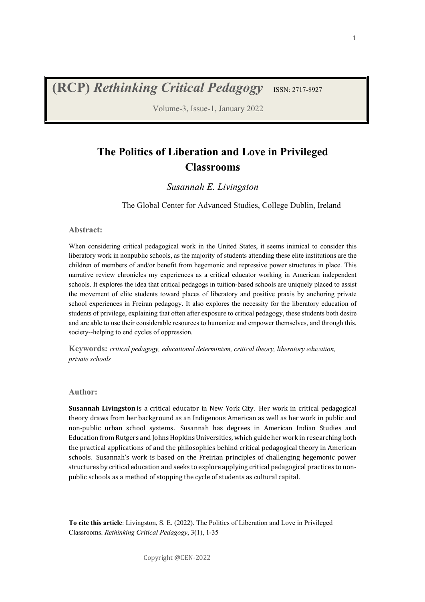**(RCP)** Rethinking Critical Pedagogy ISSN: 2717-8927

Volume-3, Issue-1, January 2022

## **The Politics of Liberation and Love in Privileged Classrooms**

#### *Susannah E. Livingston*

The Global Center for Advanced Studies, College Dublin, Ireland

#### **Abstract:**

When considering critical pedagogical work in the United States, it seems inimical to consider this liberatory work in nonpublic schools, as the majority of students attending these elite institutions are the children of members of and/or benefit from hegemonic and repressive power structures in place. This narrative review chronicles my experiences as a critical educator working in American independent schools. It explores the idea that critical pedagogs in tuition-based schools are uniquely placed to assist the movement of elite students toward places of liberatory and positive praxis by anchoring private school experiences in Freiran pedagogy. It also explores the necessity for the liberatory education of students of privilege, explaining that often after exposure to critical pedagogy, these students both desire and are able to use their considerable resources to humanize and empower themselves, and through this, society--helping to end cycles of oppression.

**Keywords:** *critical pedagogy, educational determinism, critical theory, liberatory education, private schools*

#### **Author:**

**Susannah Livingston** is a critical educator in New York City. Her work in critical pedagogical theory draws from her background as an Indigenous American as well as her work in public and non-public urban school systems. Susannah has degrees in American Indian Studies and Education from Rutgers and Johns Hopkins Universities, which guide her work in researching both the practical applications of and the philosophies behind critical pedagogical theory in American schools. Susannah's work is based on the Freirian principles of challenging hegemonic power structures by critical education and seeks to explore applying critical pedagogical practices to nonpublic schools as a method of stopping the cycle of students as cultural capital.

**To cite this article**: Livingston, S. E. (2022). The Politics of Liberation and Love in Privileged Classrooms. *Rethinking Critical Pedagogy*, 3(1), 1-35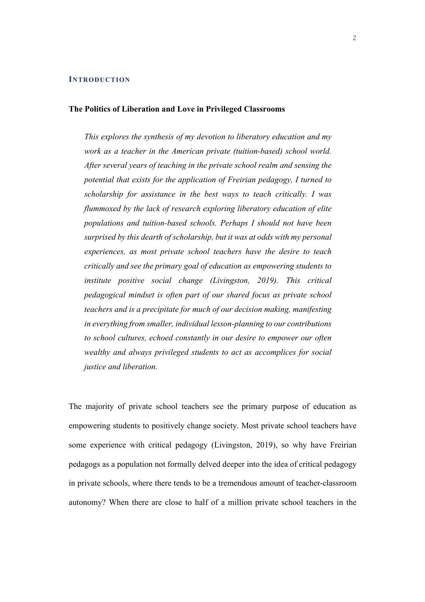#### **INTRODUCTION**

#### **The Politics of Liberation and Love in Privileged Classrooms**

*This explores the synthesis of my devotion to liberatory education and my work as a teacher in the American private (tuition-based) school world. After several years of teaching in the private school realm and sensing the potential that exists for the application of Freirian pedagogy, I turned to scholarship for assistance in the best ways to teach critically. I was flummoxed by the lack of research exploring liberatory education of elite populations and tuition-based schools. Perhaps I should not have been surprised by this dearth of scholarship, but it was at odds with my personal experiences, as most private school teachers have the desire to teach critically and see the primary goal of education as empowering students to institute positive social change (Livingston, 2019). This critical pedagogical mindset is often part of our shared focus as private school teachers and is a precipitate for much of our decision making, manifesting in everything from smaller, individual lesson-planning to our contributions to school cultures, echoed constantly in our desire to empower our often wealthy and always privileged students to act as accomplices for social justice and liberation.*

The majority of private school teachers see the primary purpose of education as empowering students to positively change society. Most private school teachers have some experience with critical pedagogy (Livingston, 2019), so why have Freirian pedagogs as a population not formally delved deeper into the idea of critical pedagogy in private schools, where there tends to be a tremendous amount of teacher-classroom autonomy? When there are close to half of a million private school teachers in the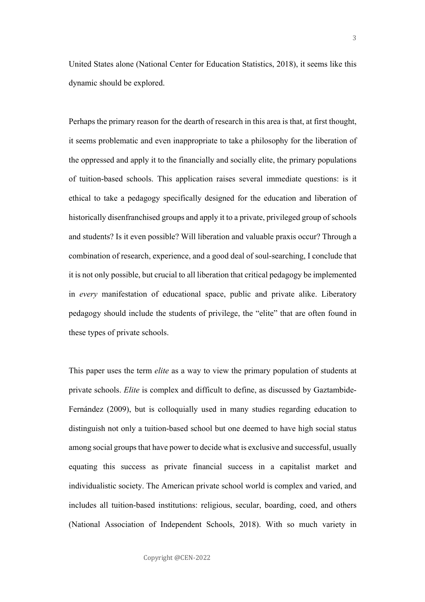United States alone (National Center for Education Statistics, 2018), it seems like this dynamic should be explored.

Perhaps the primary reason for the dearth of research in this area is that, at first thought, it seems problematic and even inappropriate to take a philosophy for the liberation of the oppressed and apply it to the financially and socially elite, the primary populations of tuition-based schools. This application raises several immediate questions: is it ethical to take a pedagogy specifically designed for the education and liberation of historically disenfranchised groups and apply it to a private, privileged group of schools and students? Is it even possible? Will liberation and valuable praxis occur? Through a combination of research, experience, and a good deal of soul-searching, I conclude that it is not only possible, but crucial to all liberation that critical pedagogy be implemented in *every* manifestation of educational space, public and private alike. Liberatory pedagogy should include the students of privilege, the "elite" that are often found in these types of private schools.

This paper uses the term *elite* as a way to view the primary population of students at private schools. *Elite* is complex and difficult to define, as discussed by Gaztambide-Fernández (2009), but is colloquially used in many studies regarding education to distinguish not only a tuition-based school but one deemed to have high social status among social groups that have power to decide what is exclusive and successful, usually equating this success as private financial success in a capitalist market and individualistic society. The American private school world is complex and varied, and includes all tuition-based institutions: religious, secular, boarding, coed, and others (National Association of Independent Schools, 2018). With so much variety in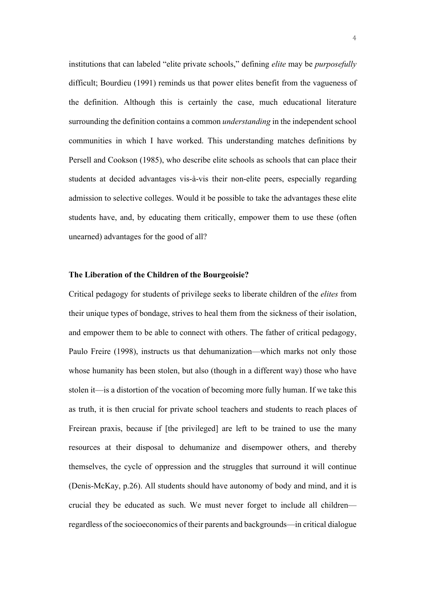institutions that can labeled "elite private schools," defining *elite* may be *purposefully* difficult; Bourdieu (1991) reminds us that power elites benefit from the vagueness of the definition. Although this is certainly the case, much educational literature surrounding the definition contains a common *understanding* in the independent school communities in which I have worked. This understanding matches definitions by Persell and Cookson (1985), who describe elite schools as schools that can place their students at decided advantages vis-à-vis their non-elite peers, especially regarding admission to selective colleges. Would it be possible to take the advantages these elite students have, and, by educating them critically, empower them to use these (often unearned) advantages for the good of all?

#### **The Liberation of the Children of the Bourgeoisie?**

Critical pedagogy for students of privilege seeks to liberate children of the *elites* from their unique types of bondage, strives to heal them from the sickness of their isolation, and empower them to be able to connect with others. The father of critical pedagogy, Paulo Freire (1998), instructs us that dehumanization—which marks not only those whose humanity has been stolen, but also (though in a different way) those who have stolen it—is a distortion of the vocation of becoming more fully human. If we take this as truth, it is then crucial for private school teachers and students to reach places of Freirean praxis, because if [the privileged] are left to be trained to use the many resources at their disposal to dehumanize and disempower others, and thereby themselves, the cycle of oppression and the struggles that surround it will continue (Denis-McKay, p.26). All students should have autonomy of body and mind, and it is crucial they be educated as such. We must never forget to include all children regardless of the socioeconomics of their parents and backgrounds—in critical dialogue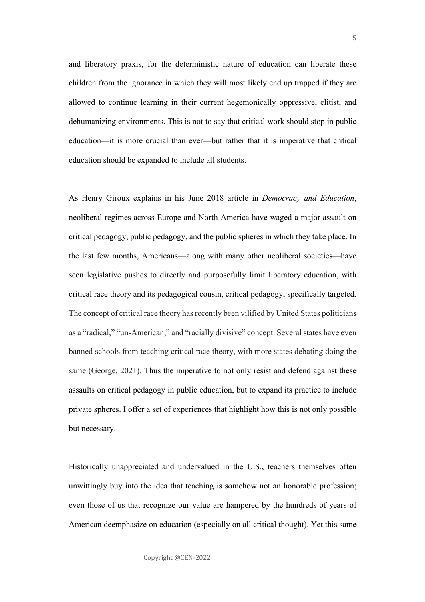and liberatory praxis, for the deterministic nature of education can liberate these children from the ignorance in which they will most likely end up trapped if they are allowed to continue learning in their current hegemonically oppressive, elitist, and dehumanizing environments. This is not to say that critical work should stop in public education—it is more crucial than ever—but rather that it is imperative that critical education should be expanded to include all students.

As Henry Giroux explains in his June 2018 article in *Democracy and Education*, neoliberal regimes across Europe and North America have waged a major assault on critical pedagogy, public pedagogy, and the public spheres in which they take place. In the last few months, Americans—along with many other neoliberal societies—have seen legislative pushes to directly and purposefully limit liberatory education, with critical race theory and its pedagogical cousin, critical pedagogy, specifically targeted. The concept of critical race theory has recently been vilified by United States politicians as a "radical," "un-American," and "racially divisive" concept. Several states have even banned schools from teaching critical race theory, with more states debating doing the same (George, 2021). Thus the imperative to not only resist and defend against these assaults on critical pedagogy in public education, but to expand its practice to include private spheres. I offer a set of experiences that highlight how this is not only possible but necessary.

Historically unappreciated and undervalued in the U.S., teachers themselves often unwittingly buy into the idea that teaching is somehow not an honorable profession; even those of us that recognize our value are hampered by the hundreds of years of American deemphasize on education (especially on all critical thought). Yet this same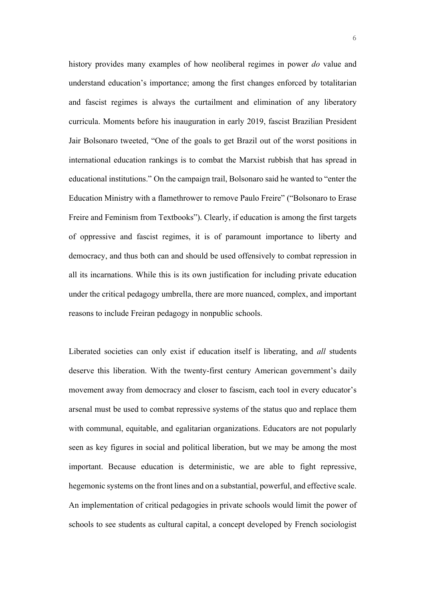history provides many examples of how neoliberal regimes in power *do* value and understand education's importance; among the first changes enforced by totalitarian and fascist regimes is always the curtailment and elimination of any liberatory curricula. Moments before his inauguration in early 2019, fascist Brazilian President Jair Bolsonaro tweeted, "One of the goals to get Brazil out of the worst positions in international education rankings is to combat the Marxist rubbish that has spread in educational institutions." On the campaign trail, Bolsonaro said he wanted to "enter the Education Ministry with a flamethrower to remove Paulo Freire" ("Bolsonaro to Erase Freire and Feminism from Textbooks"). Clearly, if education is among the first targets of oppressive and fascist regimes, it is of paramount importance to liberty and democracy, and thus both can and should be used offensively to combat repression in all its incarnations. While this is its own justification for including private education under the critical pedagogy umbrella, there are more nuanced, complex, and important reasons to include Freiran pedagogy in nonpublic schools.

Liberated societies can only exist if education itself is liberating, and *all* students deserve this liberation. With the twenty-first century American government's daily movement away from democracy and closer to fascism, each tool in every educator's arsenal must be used to combat repressive systems of the status quo and replace them with communal, equitable, and egalitarian organizations. Educators are not popularly seen as key figures in social and political liberation, but we may be among the most important. Because education is deterministic, we are able to fight repressive, hegemonic systems on the front lines and on a substantial, powerful, and effective scale. An implementation of critical pedagogies in private schools would limit the power of schools to see students as cultural capital, a concept developed by French sociologist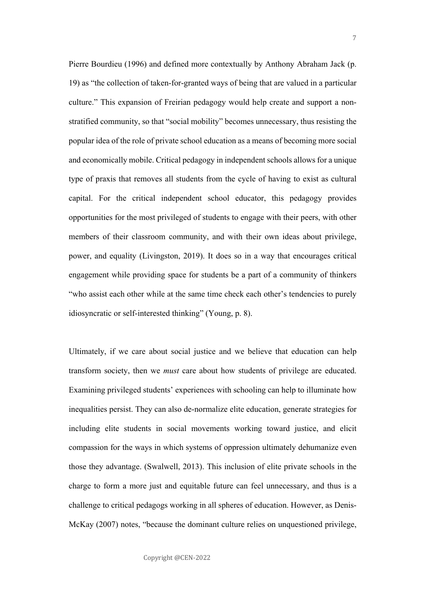Pierre Bourdieu (1996) and defined more contextually by Anthony Abraham Jack (p. 19) as "the collection of taken-for-granted ways of being that are valued in a particular culture." This expansion of Freirian pedagogy would help create and support a nonstratified community, so that "social mobility" becomes unnecessary, thus resisting the popular idea of the role of private school education as a means of becoming more social and economically mobile. Critical pedagogy in independent schools allows for a unique type of praxis that removes all students from the cycle of having to exist as cultural capital. For the critical independent school educator, this pedagogy provides opportunities for the most privileged of students to engage with their peers, with other members of their classroom community, and with their own ideas about privilege, power, and equality (Livingston, 2019). It does so in a way that encourages critical engagement while providing space for students be a part of a community of thinkers "who assist each other while at the same time check each other's tendencies to purely idiosyncratic or self-interested thinking" (Young, p. 8).

Ultimately, if we care about social justice and we believe that education can help transform society, then we *must* care about how students of privilege are educated. Examining privileged students' experiences with schooling can help to illuminate how inequalities persist. They can also de-normalize elite education, generate strategies for including elite students in social movements working toward justice, and elicit compassion for the ways in which systems of oppression ultimately dehumanize even those they advantage. (Swalwell, 2013). This inclusion of elite private schools in the charge to form a more just and equitable future can feel unnecessary, and thus is a challenge to critical pedagogs working in all spheres of education. However, as Denis-McKay (2007) notes, "because the dominant culture relies on unquestioned privilege,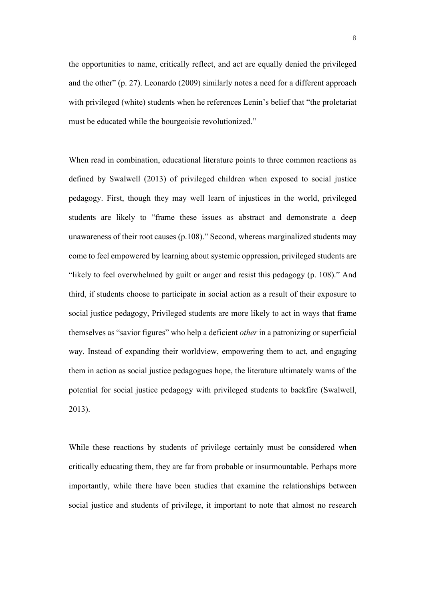the opportunities to name, critically reflect, and act are equally denied the privileged and the other" (p. 27). Leonardo (2009) similarly notes a need for a different approach with privileged (white) students when he references Lenin's belief that "the proletariat must be educated while the bourgeoisie revolutionized."

When read in combination, educational literature points to three common reactions as defined by Swalwell (2013) of privileged children when exposed to social justice pedagogy. First, though they may well learn of injustices in the world, privileged students are likely to "frame these issues as abstract and demonstrate a deep unawareness of their root causes (p.108)." Second, whereas marginalized students may come to feel empowered by learning about systemic oppression, privileged students are "likely to feel overwhelmed by guilt or anger and resist this pedagogy (p. 108)." And third, if students choose to participate in social action as a result of their exposure to social justice pedagogy, Privileged students are more likely to act in ways that frame themselves as "savior figures" who help a deficient *other* in a patronizing or superficial way. Instead of expanding their worldview, empowering them to act, and engaging them in action as social justice pedagogues hope, the literature ultimately warns of the potential for social justice pedagogy with privileged students to backfire (Swalwell, 2013).

While these reactions by students of privilege certainly must be considered when critically educating them, they are far from probable or insurmountable. Perhaps more importantly, while there have been studies that examine the relationships between social justice and students of privilege, it important to note that almost no research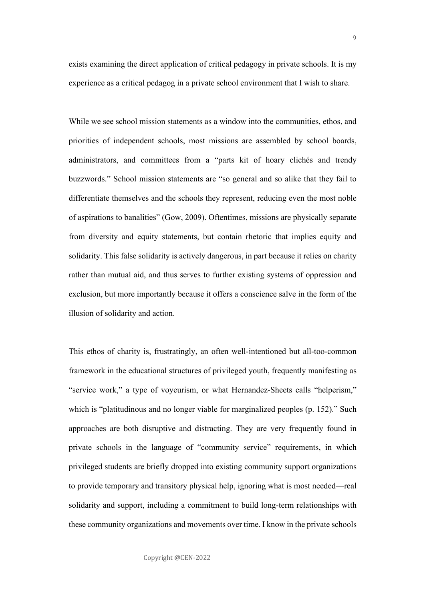9

exists examining the direct application of critical pedagogy in private schools. It is my experience as a critical pedagog in a private school environment that I wish to share.

While we see school mission statements as a window into the communities, ethos, and priorities of independent schools, most missions are assembled by school boards, administrators, and committees from a "parts kit of hoary clichés and trendy buzzwords." School mission statements are "so general and so alike that they fail to differentiate themselves and the schools they represent, reducing even the most noble of aspirations to banalities" (Gow, 2009). Oftentimes, missions are physically separate from diversity and equity statements, but contain rhetoric that implies equity and solidarity. This false solidarity is actively dangerous, in part because it relies on charity rather than mutual aid, and thus serves to further existing systems of oppression and exclusion, but more importantly because it offers a conscience salve in the form of the illusion of solidarity and action.

This ethos of charity is, frustratingly, an often well-intentioned but all-too-common framework in the educational structures of privileged youth, frequently manifesting as "service work," a type of voyeurism, or what Hernandez-Sheets calls "helperism," which is "platitudinous and no longer viable for marginalized peoples (p. 152)." Such approaches are both disruptive and distracting. They are very frequently found in private schools in the language of "community service" requirements, in which privileged students are briefly dropped into existing community support organizations to provide temporary and transitory physical help, ignoring what is most needed—real solidarity and support, including a commitment to build long-term relationships with these community organizations and movements over time. I know in the private schools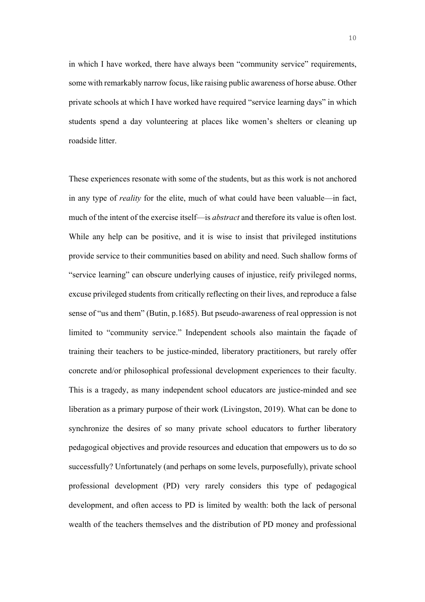in which I have worked, there have always been "community service" requirements, some with remarkably narrow focus, like raising public awareness of horse abuse. Other private schools at which I have worked have required "service learning days" in which students spend a day volunteering at places like women's shelters or cleaning up roadside litter.

These experiences resonate with some of the students, but as this work is not anchored in any type of *reality* for the elite, much of what could have been valuable—in fact, much of the intent of the exercise itself—is *abstract* and therefore its value is often lost. While any help can be positive, and it is wise to insist that privileged institutions provide service to their communities based on ability and need. Such shallow forms of "service learning" can obscure underlying causes of injustice, reify privileged norms, excuse privileged students from critically reflecting on their lives, and reproduce a false sense of "us and them" (Butin, p.1685). But pseudo-awareness of real oppression is not limited to "community service." Independent schools also maintain the façade of training their teachers to be justice-minded, liberatory practitioners, but rarely offer concrete and/or philosophical professional development experiences to their faculty. This is a tragedy, as many independent school educators are justice-minded and see liberation as a primary purpose of their work (Livingston, 2019). What can be done to synchronize the desires of so many private school educators to further liberatory pedagogical objectives and provide resources and education that empowers us to do so successfully? Unfortunately (and perhaps on some levels, purposefully), private school professional development (PD) very rarely considers this type of pedagogical development, and often access to PD is limited by wealth: both the lack of personal wealth of the teachers themselves and the distribution of PD money and professional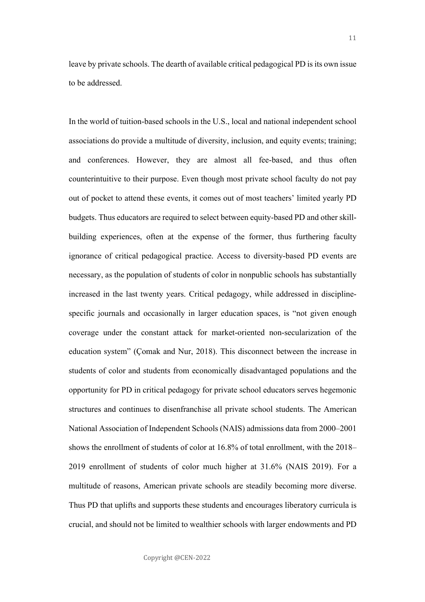leave by private schools. The dearth of available critical pedagogical PD is its own issue to be addressed.

In the world of tuition-based schools in the U.S., local and national independent school associations do provide a multitude of diversity, inclusion, and equity events; training; and conferences. However, they are almost all fee-based, and thus often counterintuitive to their purpose. Even though most private school faculty do not pay out of pocket to attend these events, it comes out of most teachers' limited yearly PD budgets. Thus educators are required to select between equity-based PD and other skillbuilding experiences, often at the expense of the former, thus furthering faculty ignorance of critical pedagogical practice. Access to diversity-based PD events are necessary, as the population of students of color in nonpublic schools has substantially increased in the last twenty years. Critical pedagogy, while addressed in disciplinespecific journals and occasionally in larger education spaces, is "not given enough coverage under the constant attack for market-oriented non-secularization of the education system" (Çomak and Nur, 2018). This disconnect between the increase in students of color and students from economically disadvantaged populations and the opportunity for PD in critical pedagogy for private school educators serves hegemonic structures and continues to disenfranchise all private school students. The American National Association of Independent Schools (NAIS) admissions data from 2000–2001 shows the enrollment of students of color at 16.8% of total enrollment, with the 2018– 2019 enrollment of students of color much higher at 31.6% (NAIS 2019). For a multitude of reasons, American private schools are steadily becoming more diverse. Thus PD that uplifts and supports these students and encourages liberatory curricula is crucial, and should not be limited to wealthier schools with larger endowments and PD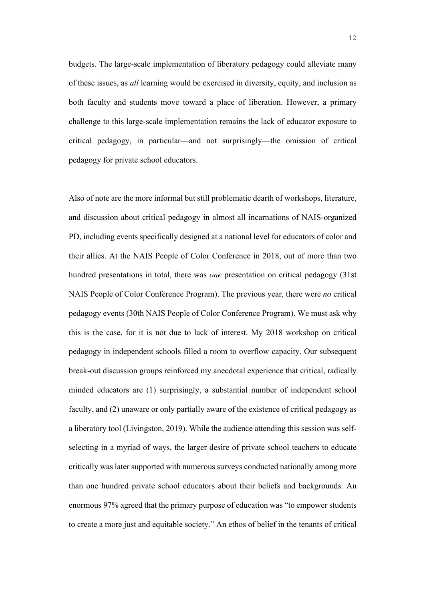budgets. The large-scale implementation of liberatory pedagogy could alleviate many of these issues, as *all* learning would be exercised in diversity, equity, and inclusion as both faculty and students move toward a place of liberation. However, a primary challenge to this large-scale implementation remains the lack of educator exposure to critical pedagogy, in particular—and not surprisingly—the omission of critical pedagogy for private school educators.

Also of note are the more informal but still problematic dearth of workshops, literature, and discussion about critical pedagogy in almost all incarnations of NAIS-organized PD, including events specifically designed at a national level for educators of color and their allies. At the NAIS People of Color Conference in 2018, out of more than two hundred presentations in total, there was *one* presentation on critical pedagogy (31st NAIS People of Color Conference Program). The previous year, there were *no* critical pedagogy events (30th NAIS People of Color Conference Program). We must ask why this is the case, for it is not due to lack of interest. My 2018 workshop on critical pedagogy in independent schools filled a room to overflow capacity. Our subsequent break-out discussion groups reinforced my anecdotal experience that critical, radically minded educators are (1) surprisingly, a substantial number of independent school faculty, and (2) unaware or only partially aware of the existence of critical pedagogy as a liberatory tool (Livingston, 2019). While the audience attending this session was selfselecting in a myriad of ways, the larger desire of private school teachers to educate critically was later supported with numerous surveys conducted nationally among more than one hundred private school educators about their beliefs and backgrounds. An enormous 97% agreed that the primary purpose of education was "to empower students to create a more just and equitable society." An ethos of belief in the tenants of critical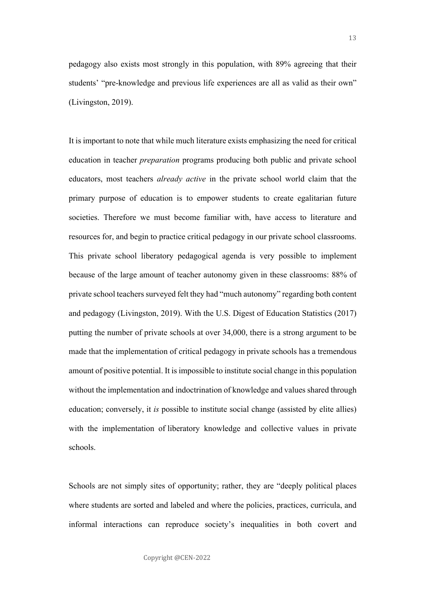pedagogy also exists most strongly in this population, with 89% agreeing that their students' "pre-knowledge and previous life experiences are all as valid as their own" (Livingston, 2019).

It is important to note that while much literature exists emphasizing the need for critical education in teacher *preparation* programs producing both public and private school educators, most teachers *already active* in the private school world claim that the primary purpose of education is to empower students to create egalitarian future societies. Therefore we must become familiar with, have access to literature and resources for, and begin to practice critical pedagogy in our private school classrooms. This private school liberatory pedagogical agenda is very possible to implement because of the large amount of teacher autonomy given in these classrooms: 88% of private school teachers surveyed felt they had "much autonomy" regarding both content and pedagogy (Livingston, 2019). With the U.S. Digest of Education Statistics (2017) putting the number of private schools at over 34,000, there is a strong argument to be made that the implementation of critical pedagogy in private schools has a tremendous amount of positive potential. It is impossible to institute social change in this population without the implementation and indoctrination of knowledge and values shared through education; conversely, it *is* possible to institute social change (assisted by elite allies) with the implementation of liberatory knowledge and collective values in private schools.

Schools are not simply sites of opportunity; rather, they are "deeply political places where students are sorted and labeled and where the policies, practices, curricula, and informal interactions can reproduce society's inequalities in both covert and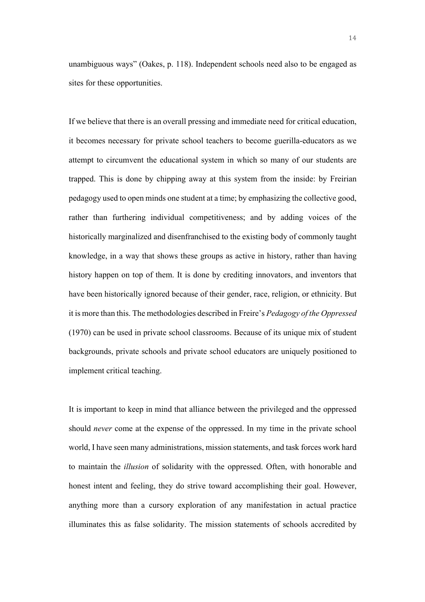unambiguous ways" (Oakes, p. 118). Independent schools need also to be engaged as sites for these opportunities.

If we believe that there is an overall pressing and immediate need for critical education, it becomes necessary for private school teachers to become guerilla-educators as we attempt to circumvent the educational system in which so many of our students are trapped. This is done by chipping away at this system from the inside: by Freirian pedagogy used to open minds one student at a time; by emphasizing the collective good, rather than furthering individual competitiveness; and by adding voices of the historically marginalized and disenfranchised to the existing body of commonly taught knowledge, in a way that shows these groups as active in history, rather than having history happen on top of them. It is done by crediting innovators, and inventors that have been historically ignored because of their gender, race, religion, or ethnicity. But it is more than this. The methodologies described in Freire's *Pedagogy of the Oppressed* (1970) can be used in private school classrooms. Because of its unique mix of student backgrounds, private schools and private school educators are uniquely positioned to implement critical teaching.

It is important to keep in mind that alliance between the privileged and the oppressed should *never* come at the expense of the oppressed. In my time in the private school world, I have seen many administrations, mission statements, and task forces work hard to maintain the *illusion* of solidarity with the oppressed. Often, with honorable and honest intent and feeling, they do strive toward accomplishing their goal. However, anything more than a cursory exploration of any manifestation in actual practice illuminates this as false solidarity. The mission statements of schools accredited by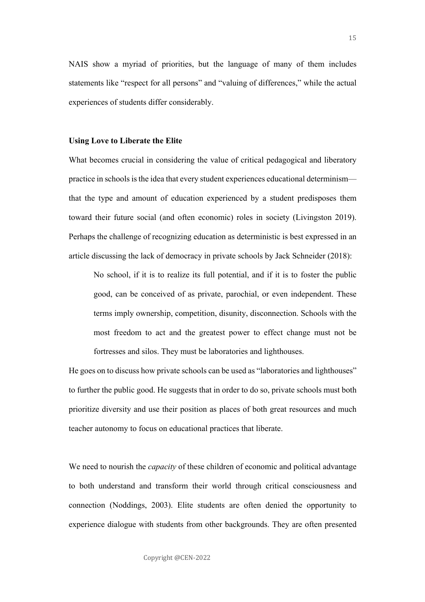NAIS show a myriad of priorities, but the language of many of them includes statements like "respect for all persons" and "valuing of differences," while the actual experiences of students differ considerably.

#### **Using Love to Liberate the Elite**

What becomes crucial in considering the value of critical pedagogical and liberatory practice in schools is the idea that every student experiences educational determinism that the type and amount of education experienced by a student predisposes them toward their future social (and often economic) roles in society (Livingston 2019). Perhaps the challenge of recognizing education as deterministic is best expressed in an article discussing the lack of democracy in private schools by Jack Schneider (2018):

No school, if it is to realize its full potential, and if it is to foster the public good, can be conceived of as private, parochial, or even independent. These terms imply ownership, competition, disunity, disconnection. Schools with the most freedom to act and the greatest power to effect change must not be fortresses and silos. They must be laboratories and lighthouses.

He goes on to discuss how private schools can be used as "laboratories and lighthouses" to further the public good. He suggests that in order to do so, private schools must both prioritize diversity and use their position as places of both great resources and much teacher autonomy to focus on educational practices that liberate.

We need to nourish the *capacity* of these children of economic and political advantage to both understand and transform their world through critical consciousness and connection (Noddings, 2003). Elite students are often denied the opportunity to experience dialogue with students from other backgrounds. They are often presented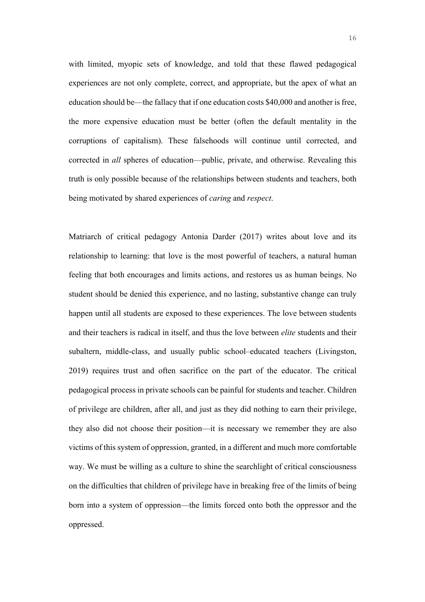with limited, myopic sets of knowledge, and told that these flawed pedagogical experiences are not only complete, correct, and appropriate, but the apex of what an education should be—the fallacy that if one education costs \$40,000 and another is free, the more expensive education must be better (often the default mentality in the corruptions of capitalism). These falsehoods will continue until corrected, and corrected in *all* spheres of education—public, private, and otherwise. Revealing this truth is only possible because of the relationships between students and teachers, both being motivated by shared experiences of *caring* and *respect*.

Matriarch of critical pedagogy Antonia Darder (2017) writes about love and its relationship to learning: that love is the most powerful of teachers, a natural human feeling that both encourages and limits actions, and restores us as human beings. No student should be denied this experience, and no lasting, substantive change can truly happen until all students are exposed to these experiences. The love between students and their teachers is radical in itself, and thus the love between *elite* students and their subaltern, middle-class, and usually public school–educated teachers (Livingston, 2019) requires trust and often sacrifice on the part of the educator. The critical pedagogical process in private schools can be painful for students and teacher. Children of privilege are children, after all, and just as they did nothing to earn their privilege, they also did not choose their position—it is necessary we remember they are also victims of this system of oppression, granted, in a different and much more comfortable way. We must be willing as a culture to shine the searchlight of critical consciousness on the difficulties that children of privilege have in breaking free of the limits of being born into a system of oppression—the limits forced onto both the oppressor and the oppressed.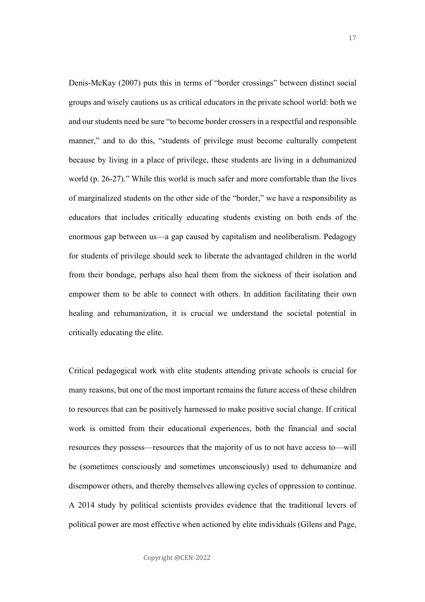Denis-McKay (2007) puts this in terms of "border crossings" between distinct social groups and wisely cautions us as critical educators in the private school world: both we and our students need be sure "to become border crossers in a respectful and responsible manner," and to do this, "students of privilege must become culturally competent because by living in a place of privilege, these students are living in a dehumanized world (p. 26-27)." While this world is much safer and more comfortable than the lives of marginalized students on the other side of the "border," we have a responsibility as educators that includes critically educating students existing on both ends of the enormous gap between us—a gap caused by capitalism and neoliberalism. Pedagogy for students of privilege should seek to liberate the advantaged children in the world from their bondage, perhaps also heal them from the sickness of their isolation and empower them to be able to connect with others. In addition facilitating their own healing and rehumanization, it is crucial we understand the societal potential in critically educating the elite.

Critical pedagogical work with elite students attending private schools is crucial for many reasons, but one of the most important remains the future access of these children to resources that can be positively harnessed to make positive social change. If critical work is omitted from their educational experiences, both the financial and social resources they possess—resources that the majority of us to not have access to—will be (sometimes consciously and sometimes unconsciously) used to dehumanize and disempower others, and thereby themselves allowing cycles of oppression to continue. A 2014 study by political scientists provides evidence that the traditional levers of political power are most effective when actioned by elite individuals (Gilens and Page,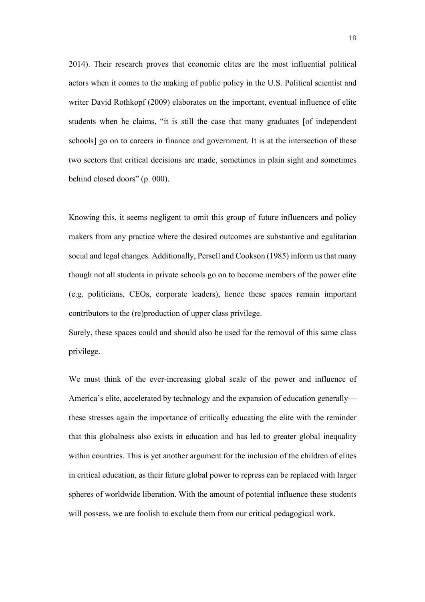2014). Their research proves that economic elites are the most influential political actors when it comes to the making of public policy in the U.S. Political scientist and writer David Rothkopf (2009) elaborates on the important, eventual influence of elite students when he claims, "it is still the case that many graduates [of independent schools] go on to careers in finance and government. It is at the intersection of these two sectors that critical decisions are made, sometimes in plain sight and sometimes behind closed doors" (p. 000).

Knowing this, it seems negligent to omit this group of future influencers and policy makers from any practice where the desired outcomes are substantive and egalitarian social and legal changes. Additionally, Persell and Cookson (1985) inform us that many though not all students in private schools go on to become members of the power elite (e.g. politicians, CEOs, corporate leaders), hence these spaces remain important contributors to the (re)production of upper class privilege.

Surely, these spaces could and should also be used for the removal of this same class privilege.

We must think of the ever-increasing global scale of the power and influence of America's elite, accelerated by technology and the expansion of education generally these stresses again the importance of critically educating the elite with the reminder that this globalness also exists in education and has led to greater global inequality within countries. This is yet another argument for the inclusion of the children of elites in critical education, as their future global power to repress can be replaced with larger spheres of worldwide liberation. With the amount of potential influence these students will possess, we are foolish to exclude them from our critical pedagogical work.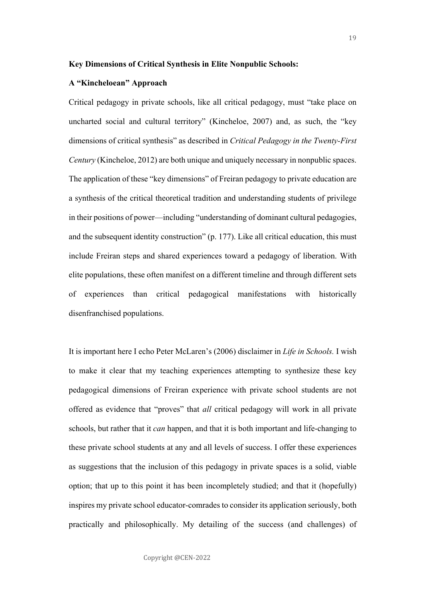#### **Key Dimensions of Critical Synthesis in Elite Nonpublic Schools:**

#### **A "Kincheloean" Approach**

Critical pedagogy in private schools, like all critical pedagogy, must "take place on uncharted social and cultural territory" (Kincheloe, 2007) and, as such, the "key dimensions of critical synthesis" as described in *Critical Pedagogy in the Twenty-First Century* (Kincheloe, 2012) are both unique and uniquely necessary in nonpublic spaces. The application of these "key dimensions" of Freiran pedagogy to private education are a synthesis of the critical theoretical tradition and understanding students of privilege in their positions of power—including "understanding of dominant cultural pedagogies, and the subsequent identity construction" (p. 177). Like all critical education, this must include Freiran steps and shared experiences toward a pedagogy of liberation. With elite populations, these often manifest on a different timeline and through different sets of experiences than critical pedagogical manifestations with historically disenfranchised populations.

It is important here I echo Peter McLaren's (2006) disclaimer in *Life in Schools.* I wish to make it clear that my teaching experiences attempting to synthesize these key pedagogical dimensions of Freiran experience with private school students are not offered as evidence that "proves" that *all* critical pedagogy will work in all private schools, but rather that it *can* happen, and that it is both important and life-changing to these private school students at any and all levels of success. I offer these experiences as suggestions that the inclusion of this pedagogy in private spaces is a solid, viable option; that up to this point it has been incompletely studied; and that it (hopefully) inspires my private school educator-comrades to consider its application seriously, both practically and philosophically. My detailing of the success (and challenges) of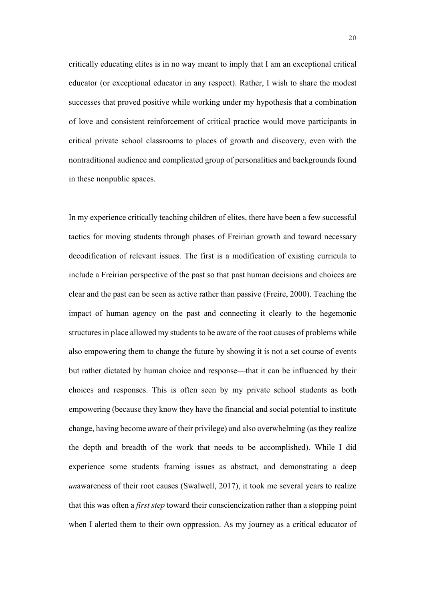critically educating elites is in no way meant to imply that I am an exceptional critical educator (or exceptional educator in any respect). Rather, I wish to share the modest successes that proved positive while working under my hypothesis that a combination of love and consistent reinforcement of critical practice would move participants in critical private school classrooms to places of growth and discovery, even with the nontraditional audience and complicated group of personalities and backgrounds found in these nonpublic spaces.

In my experience critically teaching children of elites, there have been a few successful tactics for moving students through phases of Freirian growth and toward necessary decodification of relevant issues. The first is a modification of existing curricula to include a Freirian perspective of the past so that past human decisions and choices are clear and the past can be seen as active rather than passive (Freire, 2000). Teaching the impact of human agency on the past and connecting it clearly to the hegemonic structures in place allowed my students to be aware of the root causes of problems while also empowering them to change the future by showing it is not a set course of events but rather dictated by human choice and response—that it can be influenced by their choices and responses. This is often seen by my private school students as both empowering (because they know they have the financial and social potential to institute change, having become aware of their privilege) and also overwhelming (as they realize the depth and breadth of the work that needs to be accomplished). While I did experience some students framing issues as abstract, and demonstrating a deep *un*awareness of their root causes (Swalwell, 2017), it took me several years to realize that this was often a *first step* toward their consciencization rather than a stopping point when I alerted them to their own oppression. As my journey as a critical educator of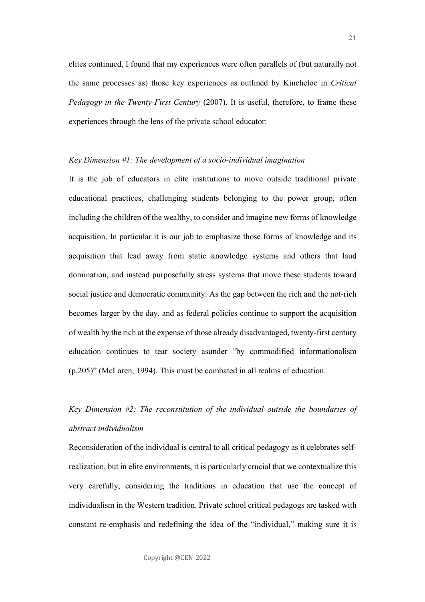elites continued, I found that my experiences were often parallels of (but naturally not the same processes as) those key experiences as outlined by Kincheloe in *Critical Pedagogy in the Twenty-First Century* (2007). It is useful, therefore, to frame these experiences through the lens of the private school educator:

#### *Key Dimension #1: The development of a socio-individual imagination*

It is the job of educators in elite institutions to move outside traditional private educational practices, challenging students belonging to the power group, often including the children of the wealthy, to consider and imagine new forms of knowledge acquisition. In particular it is our job to emphasize those forms of knowledge and its acquisition that lead away from static knowledge systems and others that laud domination, and instead purposefully stress systems that move these students toward social justice and democratic community. As the gap between the rich and the not-rich becomes larger by the day, and as federal policies continue to support the acquisition of wealth by the rich at the expense of those already disadvantaged, twenty-first century education continues to tear society asunder "by commodified informationalism (p.205)" (McLaren, 1994). This must be combated in all realms of education.

# *Key Dimension #2: The reconstitution of the individual outside the boundaries of abstract individualism*

Reconsideration of the individual is central to all critical pedagogy as it celebrates selfrealization, but in elite environments, it is particularly crucial that we contextualize this very carefully, considering the traditions in education that use the concept of individualism in the Western tradition. Private school critical pedagogs are tasked with constant re-emphasis and redefining the idea of the "individual," making sure it is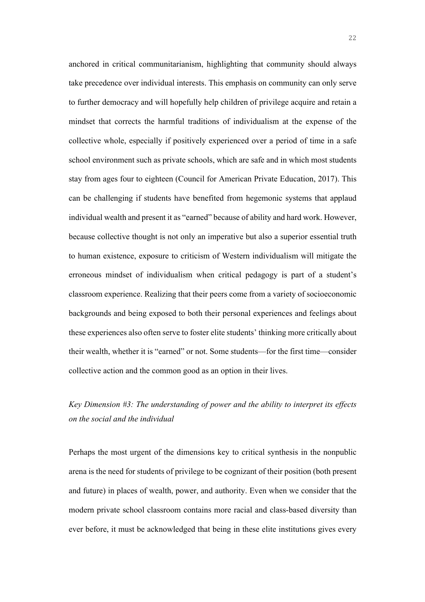anchored in critical communitarianism, highlighting that community should always take precedence over individual interests. This emphasis on community can only serve to further democracy and will hopefully help children of privilege acquire and retain a mindset that corrects the harmful traditions of individualism at the expense of the collective whole, especially if positively experienced over a period of time in a safe school environment such as private schools, which are safe and in which most students stay from ages four to eighteen (Council for American Private Education, 2017). This can be challenging if students have benefited from hegemonic systems that applaud individual wealth and present it as "earned" because of ability and hard work. However, because collective thought is not only an imperative but also a superior essential truth to human existence, exposure to criticism of Western individualism will mitigate the erroneous mindset of individualism when critical pedagogy is part of a student's classroom experience. Realizing that their peers come from a variety of socioeconomic backgrounds and being exposed to both their personal experiences and feelings about these experiences also often serve to foster elite students' thinking more critically about their wealth, whether it is "earned" or not. Some students—for the first time—consider collective action and the common good as an option in their lives.

### *Key Dimension #3: The understanding of power and the ability to interpret its effects on the social and the individual*

Perhaps the most urgent of the dimensions key to critical synthesis in the nonpublic arena is the need for students of privilege to be cognizant of their position (both present and future) in places of wealth, power, and authority. Even when we consider that the modern private school classroom contains more racial and class-based diversity than ever before, it must be acknowledged that being in these elite institutions gives every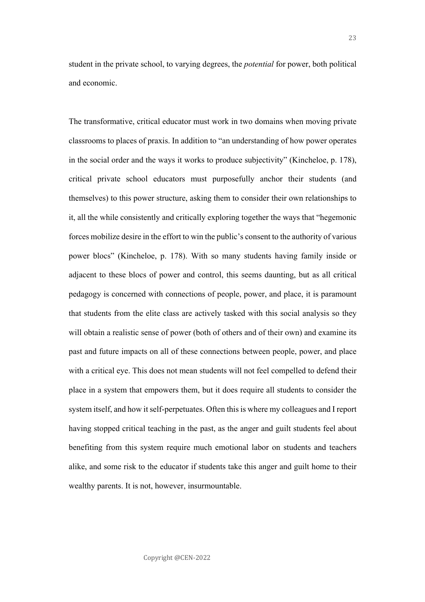student in the private school, to varying degrees, the *potential* for power, both political and economic.

The transformative, critical educator must work in two domains when moving private classrooms to places of praxis. In addition to "an understanding of how power operates in the social order and the ways it works to produce subjectivity" (Kincheloe, p. 178), critical private school educators must purposefully anchor their students (and themselves) to this power structure, asking them to consider their own relationships to it, all the while consistently and critically exploring together the ways that "hegemonic forces mobilize desire in the effort to win the public's consent to the authority of various power blocs" (Kincheloe, p. 178). With so many students having family inside or adjacent to these blocs of power and control, this seems daunting, but as all critical pedagogy is concerned with connections of people, power, and place, it is paramount that students from the elite class are actively tasked with this social analysis so they will obtain a realistic sense of power (both of others and of their own) and examine its past and future impacts on all of these connections between people, power, and place with a critical eye. This does not mean students will not feel compelled to defend their place in a system that empowers them, but it does require all students to consider the system itself, and how it self-perpetuates. Often this is where my colleagues and I report having stopped critical teaching in the past, as the anger and guilt students feel about benefiting from this system require much emotional labor on students and teachers alike, and some risk to the educator if students take this anger and guilt home to their wealthy parents. It is not, however, insurmountable.

23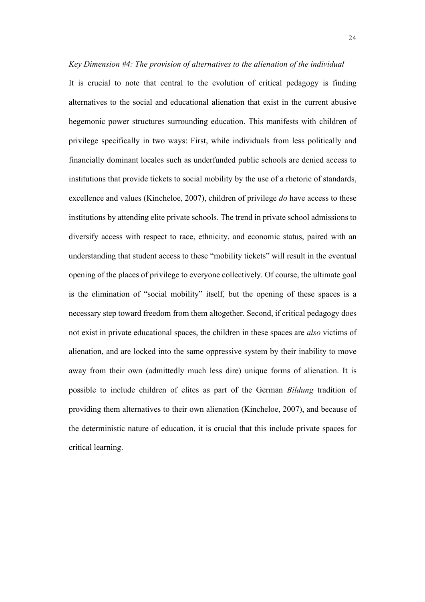*Key Dimension #4: The provision of alternatives to the alienation of the individual* It is crucial to note that central to the evolution of critical pedagogy is finding alternatives to the social and educational alienation that exist in the current abusive hegemonic power structures surrounding education. This manifests with children of privilege specifically in two ways: First, while individuals from less politically and financially dominant locales such as underfunded public schools are denied access to institutions that provide tickets to social mobility by the use of a rhetoric of standards, excellence and values (Kincheloe, 2007), children of privilege *do* have access to these institutions by attending elite private schools. The trend in private school admissions to diversify access with respect to race, ethnicity, and economic status, paired with an understanding that student access to these "mobility tickets" will result in the eventual opening of the places of privilege to everyone collectively. Of course, the ultimate goal is the elimination of "social mobility" itself, but the opening of these spaces is a necessary step toward freedom from them altogether. Second, if critical pedagogy does not exist in private educational spaces, the children in these spaces are *also* victims of alienation, and are locked into the same oppressive system by their inability to move away from their own (admittedly much less dire) unique forms of alienation. It is possible to include children of elites as part of the German *Bildung* tradition of providing them alternatives to their own alienation (Kincheloe, 2007), and because of the deterministic nature of education, it is crucial that this include private spaces for critical learning.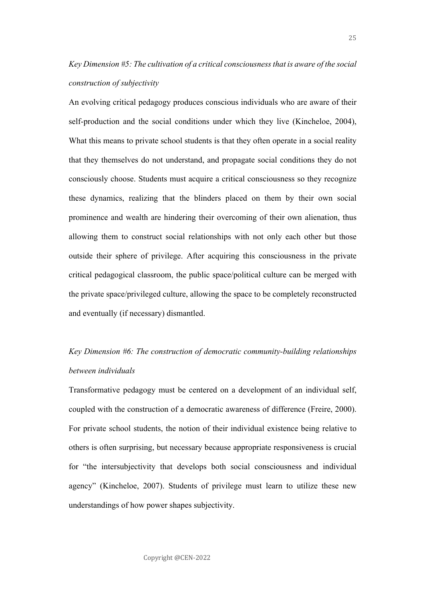# *Key Dimension #5: The cultivation of a critical consciousness that is aware of the social construction of subjectivity*

An evolving critical pedagogy produces conscious individuals who are aware of their self-production and the social conditions under which they live (Kincheloe, 2004), What this means to private school students is that they often operate in a social reality that they themselves do not understand, and propagate social conditions they do not consciously choose. Students must acquire a critical consciousness so they recognize these dynamics, realizing that the blinders placed on them by their own social prominence and wealth are hindering their overcoming of their own alienation, thus allowing them to construct social relationships with not only each other but those outside their sphere of privilege. After acquiring this consciousness in the private critical pedagogical classroom, the public space/political culture can be merged with the private space/privileged culture, allowing the space to be completely reconstructed and eventually (if necessary) dismantled.

# *Key Dimension #6: The construction of democratic community-building relationships between individuals*

Transformative pedagogy must be centered on a development of an individual self, coupled with the construction of a democratic awareness of difference (Freire, 2000). For private school students, the notion of their individual existence being relative to others is often surprising, but necessary because appropriate responsiveness is crucial for "the intersubjectivity that develops both social consciousness and individual agency" (Kincheloe, 2007). Students of privilege must learn to utilize these new understandings of how power shapes subjectivity.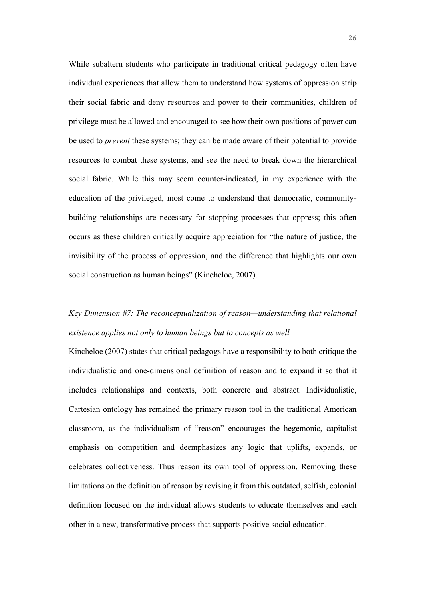While subaltern students who participate in traditional critical pedagogy often have individual experiences that allow them to understand how systems of oppression strip their social fabric and deny resources and power to their communities, children of privilege must be allowed and encouraged to see how their own positions of power can be used to *prevent* these systems; they can be made aware of their potential to provide resources to combat these systems, and see the need to break down the hierarchical social fabric. While this may seem counter-indicated, in my experience with the education of the privileged, most come to understand that democratic, communitybuilding relationships are necessary for stopping processes that oppress; this often occurs as these children critically acquire appreciation for "the nature of justice, the invisibility of the process of oppression, and the difference that highlights our own social construction as human beings" (Kincheloe, 2007).

### *Key Dimension #7: The reconceptualization of reason—understanding that relational existence applies not only to human beings but to concepts as well*

Kincheloe (2007) states that critical pedagogs have a responsibility to both critique the individualistic and one-dimensional definition of reason and to expand it so that it includes relationships and contexts, both concrete and abstract. Individualistic, Cartesian ontology has remained the primary reason tool in the traditional American classroom, as the individualism of "reason" encourages the hegemonic, capitalist emphasis on competition and deemphasizes any logic that uplifts, expands, or celebrates collectiveness. Thus reason its own tool of oppression. Removing these limitations on the definition of reason by revising it from this outdated, selfish, colonial definition focused on the individual allows students to educate themselves and each other in a new, transformative process that supports positive social education.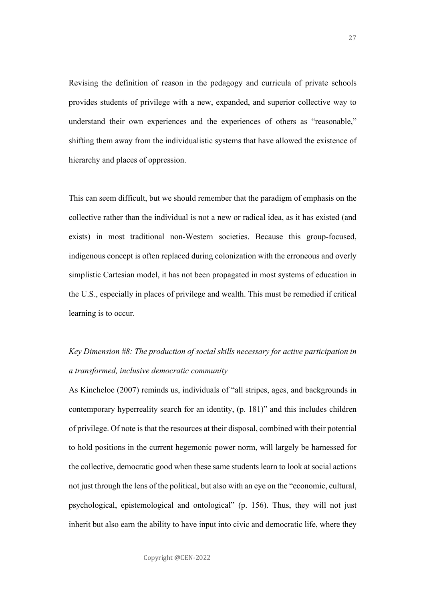Revising the definition of reason in the pedagogy and curricula of private schools provides students of privilege with a new, expanded, and superior collective way to understand their own experiences and the experiences of others as "reasonable," shifting them away from the individualistic systems that have allowed the existence of hierarchy and places of oppression.

This can seem difficult, but we should remember that the paradigm of emphasis on the collective rather than the individual is not a new or radical idea, as it has existed (and exists) in most traditional non-Western societies. Because this group-focused, indigenous concept is often replaced during colonization with the erroneous and overly simplistic Cartesian model, it has not been propagated in most systems of education in the U.S., especially in places of privilege and wealth. This must be remedied if critical learning is to occur.

# *Key Dimension #8: The production of social skills necessary for active participation in a transformed, inclusive democratic community*

As Kincheloe (2007) reminds us, individuals of "all stripes, ages, and backgrounds in contemporary hyperreality search for an identity, (p. 181)" and this includes children of privilege. Of note is that the resources at their disposal, combined with their potential to hold positions in the current hegemonic power norm, will largely be harnessed for the collective, democratic good when these same students learn to look at social actions not just through the lens of the political, but also with an eye on the "economic, cultural, psychological, epistemological and ontological" (p. 156). Thus, they will not just inherit but also earn the ability to have input into civic and democratic life, where they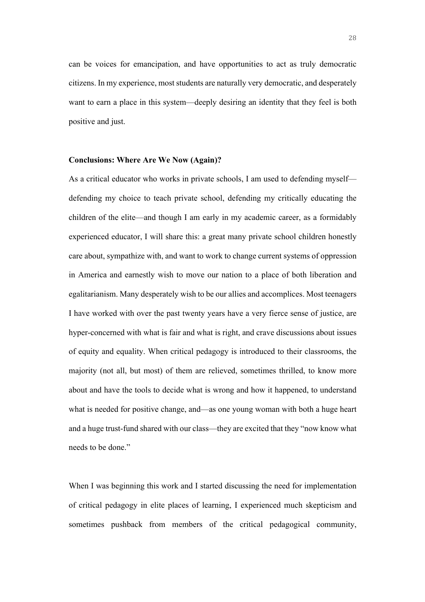can be voices for emancipation, and have opportunities to act as truly democratic citizens. In my experience, most students are naturally very democratic, and desperately want to earn a place in this system—deeply desiring an identity that they feel is both positive and just.

#### **Conclusions: Where Are We Now (Again)?**

As a critical educator who works in private schools, I am used to defending myself defending my choice to teach private school, defending my critically educating the children of the elite—and though I am early in my academic career, as a formidably experienced educator, I will share this: a great many private school children honestly care about, sympathize with, and want to work to change current systems of oppression in America and earnestly wish to move our nation to a place of both liberation and egalitarianism. Many desperately wish to be our allies and accomplices. Most teenagers I have worked with over the past twenty years have a very fierce sense of justice, are hyper-concerned with what is fair and what is right, and crave discussions about issues of equity and equality. When critical pedagogy is introduced to their classrooms, the majority (not all, but most) of them are relieved, sometimes thrilled, to know more about and have the tools to decide what is wrong and how it happened, to understand what is needed for positive change, and—as one young woman with both a huge heart and a huge trust-fund shared with our class—they are excited that they "now know what needs to be done."

When I was beginning this work and I started discussing the need for implementation of critical pedagogy in elite places of learning, I experienced much skepticism and sometimes pushback from members of the critical pedagogical community,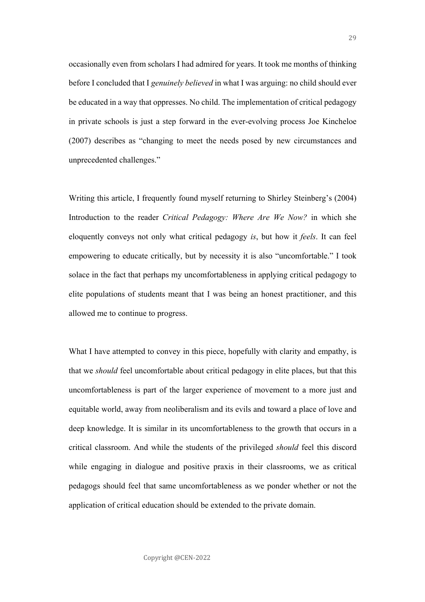occasionally even from scholars I had admired for years. It took me months of thinking before I concluded that I *genuinely believed* in what I was arguing: no child should ever be educated in a way that oppresses. No child. The implementation of critical pedagogy in private schools is just a step forward in the ever-evolving process Joe Kincheloe (2007) describes as "changing to meet the needs posed by new circumstances and unprecedented challenges."

Writing this article, I frequently found myself returning to Shirley Steinberg's (2004) Introduction to the reader *Critical Pedagogy: Where Are We Now?* in which she eloquently conveys not only what critical pedagogy *is*, but how it *feels*. It can feel empowering to educate critically, but by necessity it is also "uncomfortable." I took solace in the fact that perhaps my uncomfortableness in applying critical pedagogy to elite populations of students meant that I was being an honest practitioner, and this allowed me to continue to progress.

What I have attempted to convey in this piece, hopefully with clarity and empathy, is that we *should* feel uncomfortable about critical pedagogy in elite places, but that this uncomfortableness is part of the larger experience of movement to a more just and equitable world, away from neoliberalism and its evils and toward a place of love and deep knowledge. It is similar in its uncomfortableness to the growth that occurs in a critical classroom. And while the students of the privileged *should* feel this discord while engaging in dialogue and positive praxis in their classrooms, we as critical pedagogs should feel that same uncomfortableness as we ponder whether or not the application of critical education should be extended to the private domain.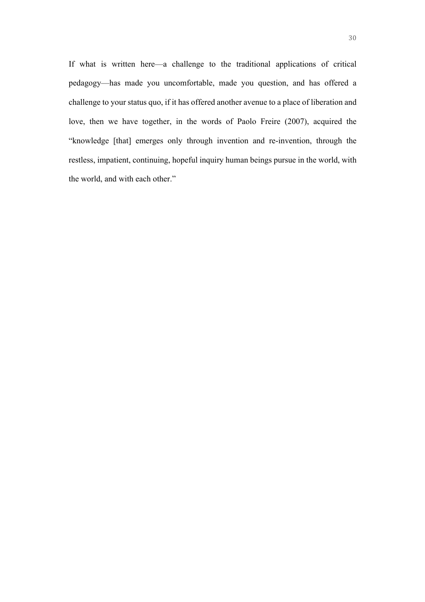If what is written here—a challenge to the traditional applications of critical pedagogy—has made you uncomfortable, made you question, and has offered a challenge to your status quo, if it has offered another avenue to a place of liberation and love, then we have together, in the words of Paolo Freire (2007), acquired the "knowledge [that] emerges only through invention and re-invention, through the restless, impatient, continuing, hopeful inquiry human beings pursue in the world, with the world, and with each other."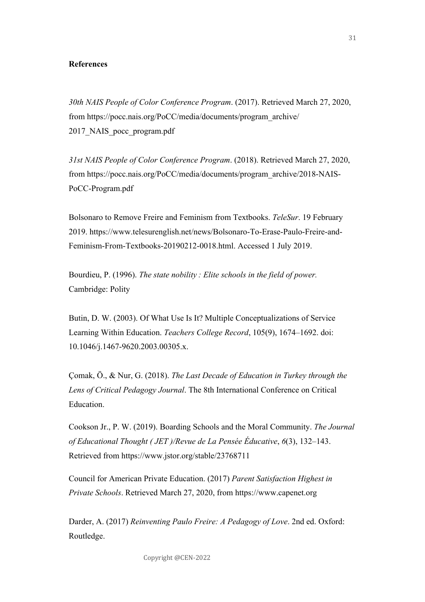#### **References**

*30th NAIS People of Color Conference Program*. (2017). Retrieved March 27, 2020, from https://pocc.nais.org/PoCC/media/documents/program\_archive/ 2017 NAIS pocc\_program.pdf

*31st NAIS People of Color Conference Program*. (2018). Retrieved March 27, 2020, from https://pocc.nais.org/PoCC/media/documents/program\_archive/2018-NAIS-PoCC-Program.pdf

Bolsonaro to Remove Freire and Feminism from Textbooks. *TeleSur*. 19 February 2019. https://www.telesurenglish.net/news/Bolsonaro-To-Erase-Paulo-Freire-and-Feminism-From-Textbooks-20190212-0018.html. Accessed 1 July 2019.

Bourdieu, P. (1996). *The state nobility : Elite schools in the field of power.* Cambridge: Polity

Butin, D. W. (2003). Of What Use Is It? Multiple Conceptualizations of Service Learning Within Education. *Teachers College Record*, 105(9), 1674–1692. doi: 10.1046/j.1467-9620.2003.00305.x.

Çomak, Ö., & Nur, G. (2018). *The Last Decade of Education in Turkey through the Lens of Critical Pedagogy Journal*. The 8th International Conference on Critical Education.

Cookson Jr., P. W. (2019). Boarding Schools and the Moral Community. *The Journal of Educational Thought ( JET )/Revue de La Pensée Éducative*, *6*(3), 132–143. Retrieved from https://www.jstor.org/stable/23768711

Council for American Private Education. (2017) *Parent Satisfaction Highest in Private Schools*. Retrieved March 27, 2020, from https://www.capenet.org

Darder, A. (2017) *Reinventing Paulo Freire: A Pedagogy of Love*. 2nd ed. Oxford: Routledge.

Copyright @CEN-2022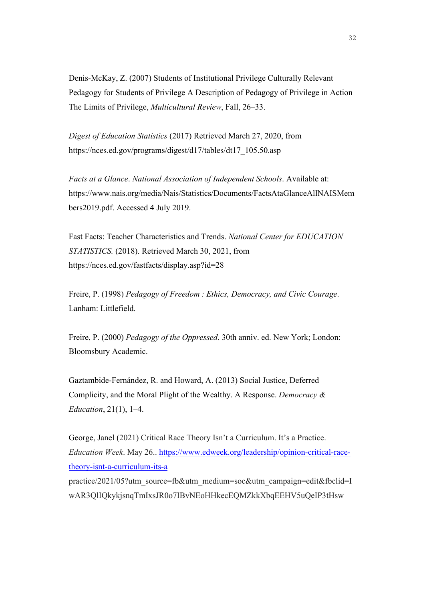Denis-McKay, Z. (2007) Students of Institutional Privilege Culturally Relevant Pedagogy for Students of Privilege A Description of Pedagogy of Privilege in Action The Limits of Privilege, *Multicultural Review*, Fall, 26–33.

*Digest of Education Statistics* (2017) Retrieved March 27, 2020, from https://nces.ed.gov/programs/digest/d17/tables/dt17\_105.50.asp

*Facts at a Glance*. *National Association of Independent Schools*. Available at: https://www.nais.org/media/Nais/Statistics/Documents/FactsAtaGlanceAllNAISMem bers2019.pdf. Accessed 4 July 2019.

Fast Facts: Teacher Characteristics and Trends. *National Center for EDUCATION STATISTICS.* (2018). Retrieved March 30, 2021, from https://nces.ed.gov/fastfacts/display.asp?id=28

Freire, P. (1998) *Pedagogy of Freedom : Ethics, Democracy, and Civic Courage*. Lanham: Littlefield.

Freire, P. (2000) *Pedagogy of the Oppressed*. 30th anniv. ed. New York; London: Bloomsbury Academic.

Gaztambide-Fernández, R. and Howard, A. (2013) Social Justice, Deferred Complicity, and the Moral Plight of the Wealthy. A Response. *Democracy & Education*, 21(1), 1–4.

George, Janel (2021) Critical Race Theory Isn't a Curriculum. It's a Practice. *Education Week*. May 26.. https://www.edweek.org/leadership/opinion-critical-racetheory-isnt-a-curriculum-its-a

practice/2021/05?utm\_source=fb&utm\_medium=soc&utm\_campaign=edit&fbclid=I wAR3QlIQkykjsnqTmIxsJR0o7IBvNEoHHkecEQMZkkXbqEEHV5uQeIP3tHsw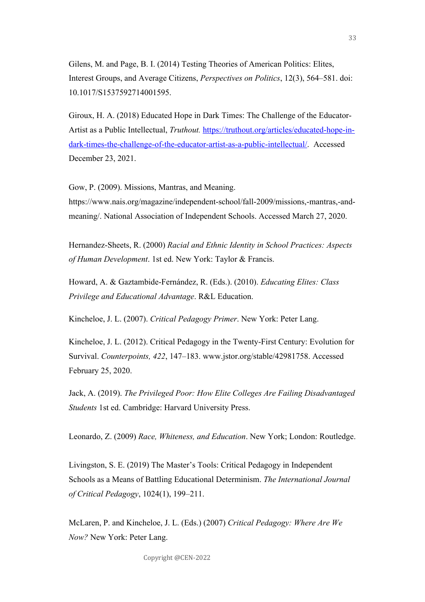Gilens, M. and Page, B. I. (2014) Testing Theories of American Politics: Elites, Interest Groups, and Average Citizens, *Perspectives on Politics*, 12(3), 564–581. doi: 10.1017/S1537592714001595.

Giroux, H. A. (2018) Educated Hope in Dark Times: The Challenge of the Educator-Artist as a Public Intellectual, *Truthout.* https://truthout.org/articles/educated-hope-indark-times-the-challenge-of-the-educator-artist-as-a-public-intellectual/. Accessed December 23, 2021.

Gow, P. (2009). Missions, Mantras, and Meaning.

https://www.nais.org/magazine/independent-school/fall-2009/missions,-mantras,-andmeaning/. National Association of Independent Schools. Accessed March 27, 2020.

Hernandez-Sheets, R. (2000) *Racial and Ethnic Identity in School Practices: Aspects of Human Development*. 1st ed. New York: Taylor & Francis.

Howard, A. & Gaztambide-Fernández, R. (Eds.). (2010). *Educating Elites: Class Privilege and Educational Advantage*. R&L Education.

Kincheloe, J. L. (2007). *Critical Pedagogy Primer*. New York: Peter Lang.

Kincheloe, J. L. (2012). Critical Pedagogy in the Twenty-First Century: Evolution for Survival. *Counterpoints, 422*, 147–183. www.jstor.org/stable/42981758. Accessed February 25, 2020.

Jack, A. (2019). *The Privileged Poor: How Elite Colleges Are Failing Disadvantaged Students* 1st ed. Cambridge: Harvard University Press.

Leonardo, Z. (2009) *Race, Whiteness, and Education*. New York; London: Routledge.

Livingston, S. E. (2019) The Master's Tools: Critical Pedagogy in Independent Schools as a Means of Battling Educational Determinism. *The International Journal of Critical Pedagogy*, 1024(1), 199–211.

McLaren, P. and Kincheloe, J. L. (Eds.) (2007) *Critical Pedagogy: Where Are We Now?* New York: Peter Lang.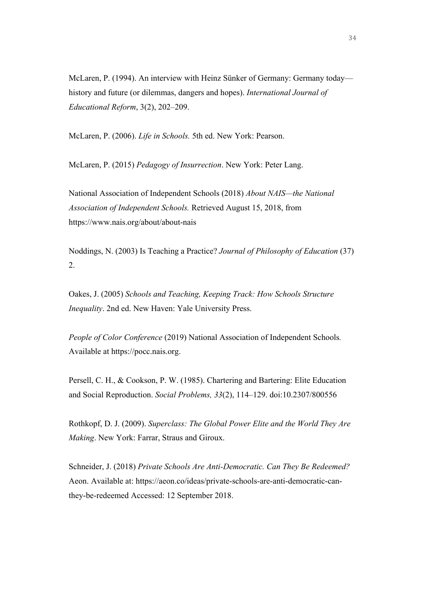McLaren, P. (1994). An interview with Heinz Sünker of Germany: Germany today history and future (or dilemmas, dangers and hopes). *International Journal of Educational Reform*, 3(2), 202–209.

McLaren, P. (2006). *Life in Schools.* 5th ed. New York: Pearson.

McLaren, P. (2015) *Pedagogy of Insurrection*. New York: Peter Lang.

National Association of Independent Schools (2018) *About NAIS—the National Association of Independent Schools.* Retrieved August 15, 2018, from https://www.nais.org/about/about-nais

Noddings, N. (2003) Is Teaching a Practice? *Journal of Philosophy of Education* (37) 2.

Oakes, J. (2005) *Schools and Teaching, Keeping Track: How Schools Structure Inequality*. 2nd ed. New Haven: Yale University Press.

*People of Color Conference* (2019) National Association of Independent Schools*.* Available at https://pocc.nais.org.

Persell, C. H., & Cookson, P. W. (1985). Chartering and Bartering: Elite Education and Social Reproduction. *Social Problems, 33*(2), 114–129. doi:10.2307/800556

Rothkopf, D. J. (2009). *Superclass: The Global Power Elite and the World They Are Making*. New York: Farrar, Straus and Giroux.

Schneider, J. (2018) *Private Schools Are Anti-Democratic. Can They Be Redeemed?* Aeon. Available at: https://aeon.co/ideas/private-schools-are-anti-democratic-canthey-be-redeemed Accessed: 12 September 2018.